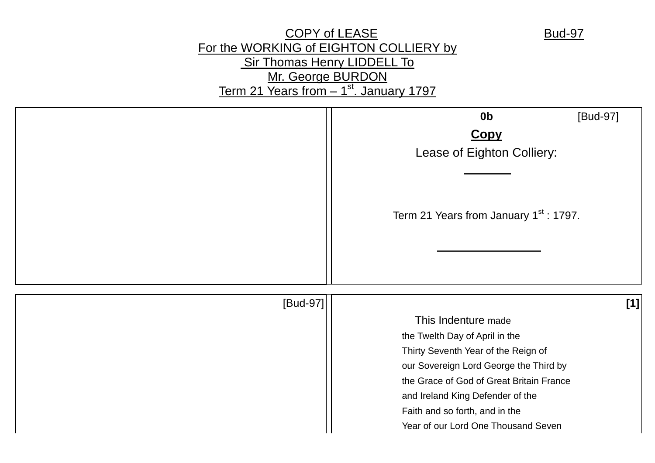# COPY of LEASE Bud-97 For the WORKING of EIGHTON COLLIERY by Sir Thomas Henry LIDDELL To Mr. George BURDON Term 21 Years from - 1<sup>st</sup>. January 1797

|          | [Bud-97]<br>0 <sub>b</sub>                                            |
|----------|-----------------------------------------------------------------------|
|          | <b>Copy</b>                                                           |
|          | Lease of Eighton Colliery:                                            |
|          |                                                                       |
|          |                                                                       |
|          |                                                                       |
|          | Term 21 Years from January 1 <sup>st</sup> : 1797.                    |
|          |                                                                       |
|          |                                                                       |
|          |                                                                       |
| [Bud-97] | [1]                                                                   |
|          | This Indenture made                                                   |
|          | the Twelth Day of April in the                                        |
|          | Thirty Seventh Year of the Reign of                                   |
|          | our Sovereign Lord George the Third by                                |
|          | the Grace of God of Great Britain France                              |
|          | and Ireland King Defender of the                                      |
|          | Faith and so forth, and in the<br>Year of our Lord One Thousand Seven |
|          |                                                                       |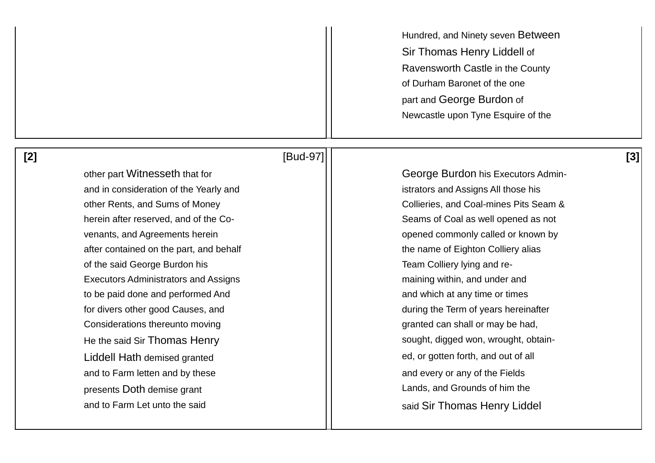Hundred, and Ninety seven Between Sir Thomas Henry Liddell of Ravensworth Castle in the County of Durham Baronet of the one part and George Burdon of Newcastle upon Tyne Esquire of the

# **[2]** [Bud-97] **[3]**

and in consideration of the Yearly and istrators and Assigns All those his after contained on the part, and behalf the name of Eighton Colliery alias of the said George Burdon his **Team Colliery Iving and re-**Executors Administrators and Assigns maining within, and under and maining within, and under and to be paid done and performed And and and which at any time or times for divers other good Causes, and during the Term of years hereinafter Considerations thereunto moving example and the set of the state of the state of the considerations thereunto moving Liddell Hath demised granted example and the set of all states and out of all ed, or gotten forth, and out of all and to Farm letten and by these and  $\vert$  and every or any of the Fields presents Doth demise grant **Lands**, and Grounds of him the and to Farm Let unto the said  $\vert\vert$  said Sir Thomas Henry Liddel

other part Witnesseth that for George Burdon his Executors Adminother Rents, and Sums of Money **Collieries**, and Coal-mines Pits Seam & herein after reserved, and of the Co- Seams of Coal as well opened as not venants, and Agreements herein **opened commonly called or known by** opened commonly called or known by He the said Sir Thomas Henry strategy and the said Sir Thomas Henry sought, digged won, wrought, obtain-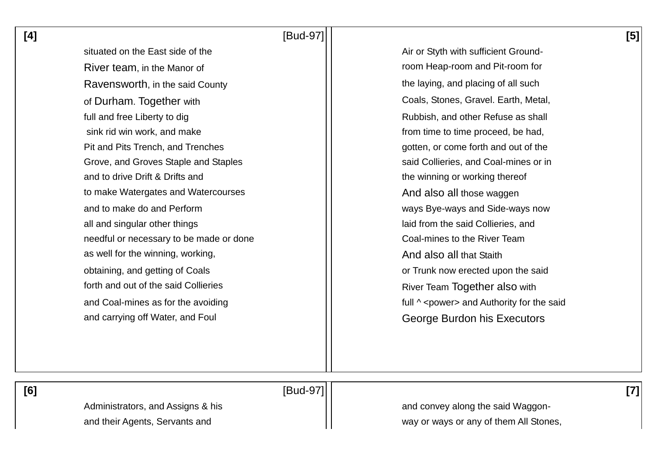**[4]** [Bud-97] **[5]** 

situated on the East side of the Air or Styth with sufficient Ground-River team, in the Manor of **room**  $\vert \vert$  room Heap-room and Pit-room for Ravensworth, in the said County **the laying, and placing of all such** the laying, and placing of all such of Durham. Together with Coals, Stones, Gravel. Earth, Metal, full and free Liberty to dig Theorem Assembly 1. The Rubbish and other Refuse as shall sink rid win work, and make from time to time proceed, be had, Pit and Pits Trench, and Trenches and Trenches and the gotten, or come forth and out of the Grove, and Groves Staple and Staples said Collieries, and Coal-mines or in and to drive Drift & Drifts and the winning or working thereof to make Watergates and Watercourses And And also all those waggen and to make do and Perform and to make do and Perform ways Bye-ways and Side-ways now all and singular other things laid from the said Collieries, and needful or necessary to be made or done The Coal-mines to the River Team as well for the winning, working,  $\vert$  as well for the winning, working, obtaining, and getting of Coals **obtaining**, and getting of Coals forth and out of the said Collieries **River Team Together also with** River Team Together also with and Coal-mines as for the avoiding  $\vert \vert$   $\vert$  full  $\wedge$  <power> and Authority for the said and carrying off Water, and Foul **George Burdon his Executors** 

 **[6]** [Bud-97] **[7]** 

Administrators, and Assigns & his and convey along the said Waggonand their Agents, Servants and way or ways or any of them All Stones,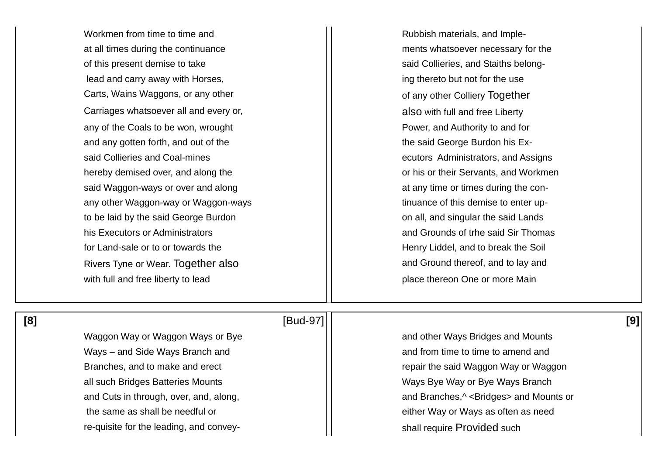Workmen from time to time and  $\vert \vert$  Rubbish materials, and Impleat all times during the continuance and ments whatsoever necessary for the of this present demise to take said Collieries, and Staiths belonglead and carry away with Horses,  $\vert \vert$  ing thereto but not for the use Carts, Wains Waggons, or any other **COLLET COLLET Carts**, Wains Waggons, or any other colliery Together Carriages whatsoever all and every or, also with full and free Liberty any of the Coals to be won, wrought November 1, November 2, 2012 Power, and Authority to and for and any gotten forth, and out of the the the the said George Burdon his Exsaid Collieries and Coal-mines extending the said Collieries and Assigns equations Administrators, and Assigns hereby demised over, and along the **or his or his or their Servants**, and Workmen said Waggon-ways or over and along at any time or times during the conany other Waggon-way or Waggon-ways the same of this demise to enter upto be laid by the said George Burdon **on all, and singular the said Lands** to be laid by the said Cands his Executors or Administrators and Grounds of trhe said Sir Thomas for Land-sale or to or towards the **Henry Liddel**, and to break the Soil Rivers Tyne or Wear. Together also **and Ground thereof**, and to lay and Ground thereof, and to lay and with full and free liberty to lead place thereon One or more Main

### **[8]** [Bud-97] **[9]**

Ways – and Side Ways Branch and **Franch and Franch and Franch and Franch and Franch and Franch and Franch and Franch and Franch and Franch and Franch and Franch and Franch and Franch and Franch and Franch and Franch and Fr** all such Bridges Batteries Mounts National Community Communication Communication Communication Communication C the same as shall be needful or either Way or Ways as often as need re-quisite for the leading, and convey-<br>  $\begin{array}{ccc} \hline \end{array}$  shall require Provided such

Waggon Way or Waggon Ways or Bye and II and other Ways Bridges and Mounts Branches, and to make and erect **repair the said Waggon Way or Waggon** and Cuts in through, over, and, along, and and Branches,  $\sim$  <Bridges> and Mounts or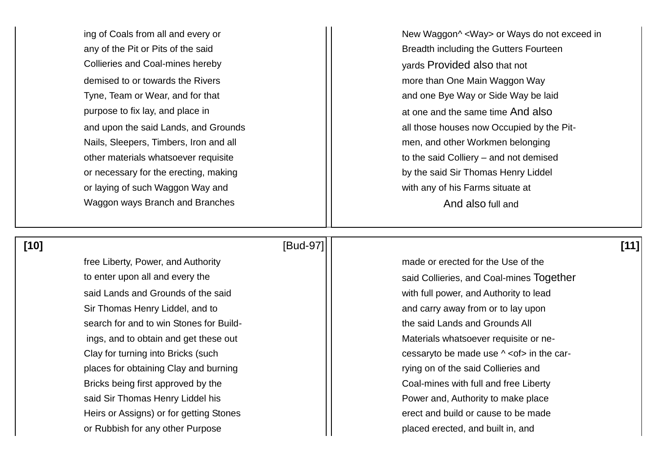Collieries and Coal-mines hereby yards Provided also that not demised to or towards the Rivers more is a more than One Main Waggon Way purpose to fix lay, and place in at one and the same time And also Nails, Sleepers, Timbers, Iron and all mention of the ment and other Workmen belonging or necessary for the erecting, making by the said Sir Thomas Henry Liddel or laying of such Waggon Way and **with any of his Farms situate at** Waggon ways Branch and Branches And also full and And also full and

ing of Coals from all and every or New Yaggon<sup>^</sup> <Way> or Ways do not exceed in any of the Pit or Pits of the said **Breadth including the Gutters Fourteen** Tyne, Team or Wear, and for that and  $\vert \vert$  and one Bye Way or Side Way be laid and upon the said Lands, and Grounds and  $\vert\vert$  all those houses now Occupied by the Pitother materials whatsoever requisite to the said Colliery – and not demised

### **[10]** [Bud-97] **[11]**

free Liberty. Power, and Authority **mature is a set of the Use of the Use** of the Use of the said Lands and Grounds of the said with full power, and Authority to lead Sir Thomas Henry Liddel, and to and carry away from or to lay upon search for and to win Stones for Build- the said Lands and Grounds All places for obtaining Clay and burning rying on of the said Collieries and Bricks being first approved by the Coal-mines with full and free Liberty said Sir Thomas Henry Liddel his **Fig. 2018** 1.1 **Power and, Authority to make place** Heirs or Assigns) or for getting Stones erect and build or cause to be made or Rubbish for any other Purpose placed erected, and built in, and

to enter upon all and every the said Collieries, and Coal-mines Together ings, and to obtain and get these out Materials whatsoever requisite or ne-Clay for turning into Bricks (such example  $\vert$  cessaryto be made use  $\land$  <of> in the car-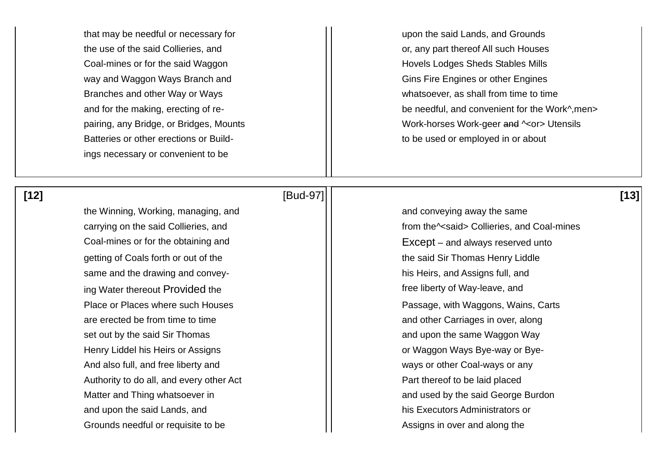that may be needful or necessary for upon the said Lands, and Grounds the use of the said Collieries, and  $\vert \vert$  or, any part thereof All such Houses Coal-mines or for the said Waggon **Hovels Lodges Sheds Stables Mills** way and Waggon Ways Branch and Gins Fire Engines or other Engines Branches and other Way or Ways whatsoever, as shall from time to time Batteries or other erections or Build-<br>  $\begin{array}{ccc} \hline \end{array}$  to be used or employed in or about ings necessary or convenient to be

the Winning, Working, managing, and  $\vert \vert$  and conveying away the same Coal-mines or for the obtaining and **EXCEP** Formulation  $\Box$  Except – and always reserved unto getting of Coals forth or out of the the the the the said Sir Thomas Henry Liddle same and the drawing and convey-<br>  $\begin{array}{ccc} \hline \end{array}$  his Heirs, and Assigns full, and ing Water thereout Provided the free liberty of Way-leave, and are erected be from time to time and other Carriages in over, along set out by the said Sir Thomas and upon the same Waggon Way Henry Liddel his Heirs or Assigns **Example 20** Theory Cor Waggon Ways Bye-way or Bye-And also full, and free liberty and ways or other Coal-ways or any Authority to do all, and every other Act **Part thereof to be laid placed** Matter and Thing whatsoever in and used by the said George Burdon and upon the said Lands, and his Executors Administrators or Grounds needful or requisite to be Assigns in over and along the

 **[12]** [Bud-97] **[13]** 

and for the making, erecting of re-<br>  $\vert \vert$  be needful, and convenient for the Work<sup>^</sup>,men> pairing, any Bridge, or Bridges, Mounts Morrell Mork-horses Work-geer and  $\sim$  or Utensils

carrying on the said Collieries, and from the said> Collieries, and Coal-mines Place or Places where such Houses Place or Places where such Houses Place or Places where such Houses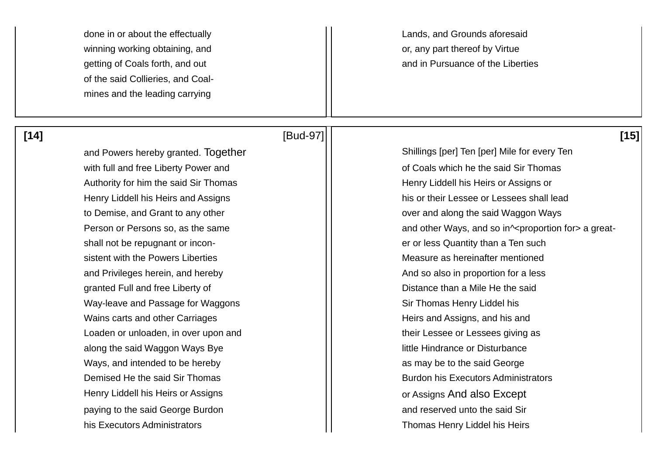done in or about the effectually Lands, and Grounds aforesaid winning working obtaining, and **or or leads** and **or** any part thereof by Virtue of the said Collieries, and Coalmines and the leading carrying

getting of Coals forth, and out and in Pursuance of the Liberties

and Powers hereby granted. Together Shillings [per] Ten [per] Mile for every Ten with full and free Liberty Power and **of Coals which he the said Sir Thomas** Authority for him the said Sir Thomas Henry Liddell his Heirs or Assigns or to Demise, and Grant to any other **over and along the said Waggon Ways** shall not be repugnant or incon-<br>  $\Box$  er or less Quantity than a Ten such sistent with the Powers Liberties Measure as hereinafter mentioned and Privileges herein, and hereby And So also in proportion for a less granted Full and free Liberty of  $\vert \vert$  Distance than a Mile He the said Way-leave and Passage for Waggons Network Contract Number of Sir Thomas Henry Liddel his Wains carts and other Carriages Heirs and Assigns, and his and Loaden or unloaden, in over upon and their Lessee or Lessees giving as along the said Waggon Ways Bye little Hindrance or Disturbance Ways, and intended to be hereby  $\vert \vert$  as may be to the said George Demised He the said Sir Thomas **Burdon his Executors Administrators** Burdon his Executors Administrators Henry Liddell his Heirs or Assigns **Network Contract Contract Contract Contract Contract Contract Contract Contract Contract Contract Contract Contract Contract Contract Contract Contract Contract Contract Contract Contrac** paying to the said George Burdon and reserved unto the said Sir his Executors Administrators **Thomas Henry Liddel his Heirs** Thomas Henry Liddel his Heirs

### **[14]** [Bud-97] **[15]**

Henry Liddell his Heirs and Assigns his or their Lessee or Lessees shall lead Person or Persons so, as the same  $\vert \vert$  and other Ways, and so in^<proportion for> a great-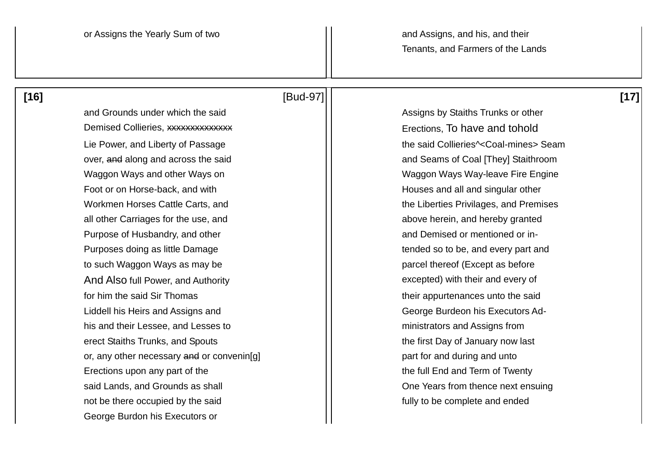## **[16]** [Bud-97] **[17]**

and Grounds under which the said Assigns by Staiths Trunks or other Demised Collieries, xxxxxxxxxxxxxx Erections, To have and tohold Lie Power, and Liberty of Passage  $\vert \vert$  the said Collieries^<Coal-mines> Seam over, and along and across the said and Seams of Coal [They] Staithroom Waggon Ways and other Ways on Waggon Ways Way-leave Fire Engine Foot or on Horse-back, and with Foot or on Horse-back, and with  $\vert \vert$  Houses and all and singular other Workmen Horses Cattle Carts, and The Liberties Privilages, and Premises all other Carriages for the use, and all above herein, and hereby granted Purpose of Husbandry, and other and Demised or mentioned or in-Purposes doing as little Damage **the surface of the solution of the solution** tended so to be, and every part and to such Waggon Ways as may be parcel thereof (Except as before And Also full Power, and Authority excepted) with their and every of for him the said Sir Thomas their appurtenances unto the said Liddell his Heirs and Assigns and George Burdeon his Executors Adhis and their Lessee, and Lesses to **his and their Lessee, and Lesses to his and Assigns from** erect Staiths Trunks, and Spouts the first Day of January now last or, any other necessary and or convening  $\vert \vert$   $\vert$  part for and during and unto Erections upon any part of the the the full End and Term of Twenty said Lands, and Grounds as shall **Container and Cone Years from thence next ensuing** not be there occupied by the said fully to be complete and ended George Burdon his Executors or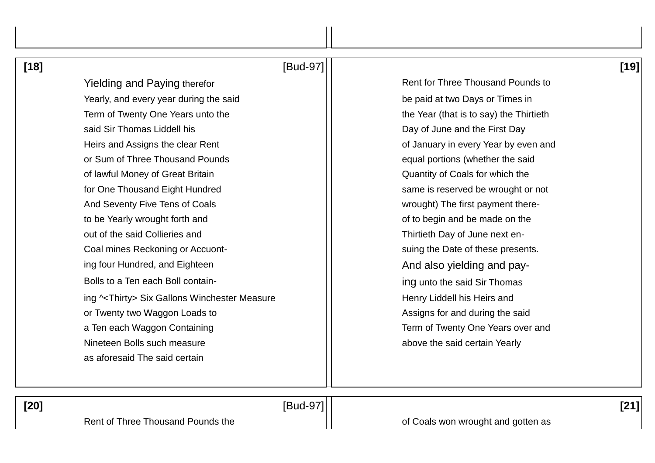| $[18]$ |                                                        | [Bud-97] |                                          | [19] |
|--------|--------------------------------------------------------|----------|------------------------------------------|------|
|        | <b>Yielding and Paying therefor</b>                    |          | <b>Rent for Three Thousand Pounds to</b> |      |
|        | Yearly, and every year during the said                 |          | be paid at two Days or Times in          |      |
|        | Term of Twenty One Years unto the                      |          | the Year (that is to say) the Thirtieth  |      |
|        | said Sir Thomas Liddell his                            |          | Day of June and the First Day            |      |
|        | Heirs and Assigns the clear Rent                       |          | of January in every Year by even and     |      |
|        | or Sum of Three Thousand Pounds                        |          | equal portions (whether the said         |      |
|        | of lawful Money of Great Britain                       |          | Quantity of Coals for which the          |      |
|        | for One Thousand Eight Hundred                         |          | same is reserved be wrought or not       |      |
|        | And Seventy Five Tens of Coals                         |          | wrought) The first payment there-        |      |
|        | to be Yearly wrought forth and                         |          | of to begin and be made on the           |      |
|        | out of the said Collieries and                         |          | Thirtieth Day of June next en-           |      |
|        | Coal mines Reckoning or Accuont-                       |          | suing the Date of these presents.        |      |
|        | ing four Hundred, and Eighteen                         |          | And also yielding and pay-               |      |
|        | Bolls to a Ten each Boll contain-                      |          | ing unto the said Sir Thomas             |      |
|        | ing ^ <thirty> Six Gallons Winchester Measure</thirty> |          | Henry Liddell his Heirs and              |      |
|        | or Twenty two Waggon Loads to                          |          | Assigns for and during the said          |      |
|        | a Ten each Waggon Containing                           |          | Term of Twenty One Years over and        |      |
|        | Nineteen Bolls such measure                            |          | above the said certain Yearly            |      |
|        | as aforesaid The said certain                          |          |                                          |      |
|        |                                                        |          |                                          |      |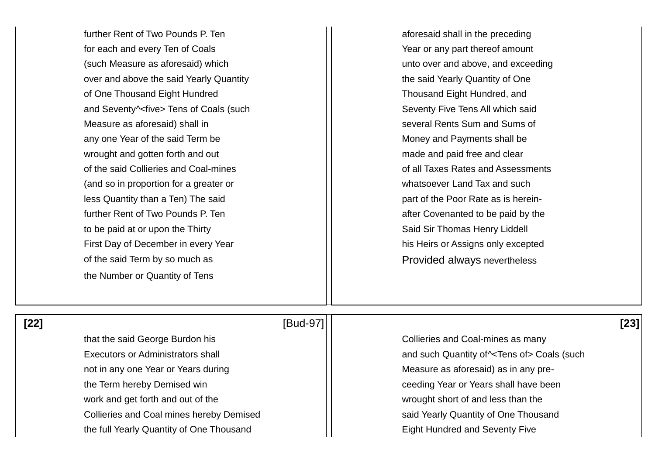further Rent of Two Pounds P. Ten and the state of the state aforesaid shall in the preceding for each and every Ten of Coals The Matteo State of Least or any part thereof amount (such Measure as aforesaid) which unto over and above, and exceeding over and above the said Yearly Quantity in the said Yearly Quantity of One of One Thousand Eight Hundred Thousand Eight Hundred, and and Seventy^<five> Tens of Coals (such Seventy Five Tens All which said Measure as aforesaid) shall in several Rents Sum and Sums of any one Year of the said Term be  $\vert \vert$  Money and Payments shall be wrought and gotten forth and out move and paid free and clear of the said Collieries and Coal-mines **of all Taxes Rates and Assessments** of all Taxes Rates and Assessments (and so in proportion for a greater or whatsoever Land Tax and such  $\vert$  less Quantity than a Ten) The said  $\vert$   $\vert$  part of the Poor Rate as is hereinfurther Rent of Two Pounds P. Ten and the state of the after Covenanted to be paid by the to be paid at or upon the Thirty  $||$  Said Sir Thomas Henry Liddell First Day of December in every Year his Heirs or Assigns only excepted of the said Term by so much as **Provided always nevertheless** the Number or Quantity of Tens

### **[22]** [Bud-97] **[23]**

that the said George Burdon his Collieries and Coal-mines as many not in any one Year or Years during Measure as aforesaid) as in any prethe Term hereby Demised win **channel and Contract Contract Contract Contract Contract Contract Contract Contract Contract Contract Contract Contract Contract Contract Contract Contract Contract Contract Contract Contract C** work and get forth and out of the wrought short of and less than the Collieries and Coal mines hereby Demised **South Accord Figure 3** said Yearly Quantity of One Thousand

Executors or Administrators shall and such Quantity of  $\sim$ Tens of > Coals (such Quantity of  $\sim$ Tens of > Coals (such the full Yearly Quantity of One Thousand **Eight Hundred and Seventy Five**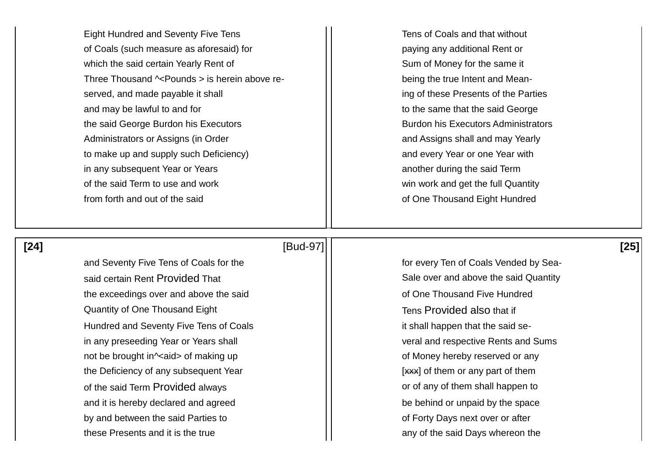Eight Hundred and Seventy Five Tens Tens Tens Tens of Coals and that without of Coals (such measure as aforesaid) for **paying any additional Rent or** paying any additional Rent or which the said certain Yearly Rent of Sum of Money for the same it Three Thousand  $\sim$  Pounds  $>$  is herein above re-  $\vert \vert$  being the true Intent and Meanserved, and made payable it shall ing of these Presents of the Parties and may be lawful to and for the same that the said George is to the same that the said George the said George Burdon his Executors **Burdon 1** | Burdon his Executors Administrators Administrators or Assigns (in Order and Assigns shall and may Yearly to make up and supply such Deficiency) and every Year or one Year with in any subsequent Year or Years and Term another during the said Term of the said Term to use and work **win** win work and get the full Quantity from forth and out of the said **of One Thousand Eight Hundred** 

## **[24]** [Bud-97] **[25]**

and Seventy Five Tens of Coals for the forecast of forevery Ten of Coals Vended by Seasaid certain Rent Provided That Said Cuantity Sale over and above the said Quantity the exceedings over and above the said **of One Thousand Five Hundred** Quantity of One Thousand Eight Tens Provided also that if Hundred and Seventy Five Tens of Coals **it shall happen that the said se**in any preseeding Year or Years shall veral and respective Rents and Sums not be brought in<sup> $\sim$ </sup>aid> of making up of Money hereby reserved or any the Deficiency of any subsequent Year [xxx] of them or any part of them of the said Term Provided always and the said Term Provided always and the said Term shall happen to and it is hereby declared and agreed be behind or unpaid by the space by and between the said Parties to **by and between the said Parties to by and between** the said Parties to these Presents and it is the true any of the said Days whereon the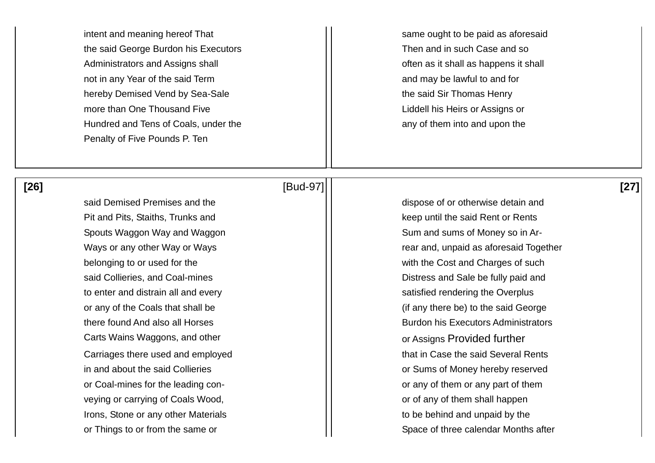intent and meaning hereof That same ought to be paid as aforesaid the said George Burdon his Executors Then and in such Case and so Administrators and Assigns shall and  $\vert$  often as it shall as happens it shall not in any Year of the said Term and may be lawful to and for hereby Demised Vend by Sea-Sale the said Sir Thomas Henry more than One Thousand Five **Lightnian Coney Coney Thousand Five** Liddell his Heirs or Assigns or Hundred and Tens of Coals, under the any of them into and upon the any of them into and upon the Penalty of Five Pounds P. Ten

said Demised Premises and the dispose of or otherwise detain and Pit and Pits, Staiths, Trunks and **Exercise 2 Rent of Rent of Rents** Rent or Rents Spouts Waggon Way and Waggon Sum Sum and sums of Money so in Arbelonging to or used for the with the Cost and Charges of such belonging to or used for the to enter and distrain all and every satisfied rendering the Overplus Carts Wains Waggons, and other **Carts Wains Waggons, and other contained assigns Provided further** or Coal-mines for the leading con- **or** any of them or any part of them veying or carrying of Coals Wood,  $\vert \vert$  or of any of them shall happen Irons, Stone or any other Materials to be behind and unpaid by the

# **[26]** [Bud-97] **[27]**

Ways or any other Way or Ways rear and, unpaid as aforesaid Together said Collieries, and Coal-mines **Distress and Sale be fully paid and** Sale be fully paid and or any of the Coals that shall be  $\vert$  (if any there be) to the said George there found And also all Horses **Burdon his Executors Administrators** Burdon his Executors Administrators Carriages there used and employed **that in Case the said Several Rents** in and about the said Collieries **or Sums of Money hereby reserved** and about the said Collieries or Things to or from the same or Space of three calendar Months after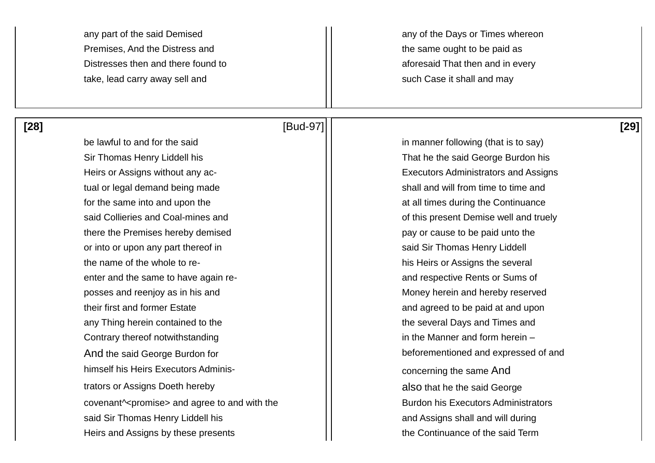Premises, And the Distress and the same ought to be paid as Distresses then and there found to a set of the aforesaid That then and in every take, lead carry away sell and such Case it shall and may

 **[28]** [Bud-97] **[29]** 

any part of the said Demised any part of the Said Demised any part of the Days or Times whereon

be lawful to and for the said  $\vert \vert$  in manner following (that is to say) Sir Thomas Henry Liddell his That he the said George Burdon his Heirs or Assigns without any ac-<br>  $\begin{array}{ccc} \hline \end{array}$  Executors Administrators and Assigns tual or legal demand being made shall and will from time to time and for the same into and upon the at all times during the Continuance at all times during the Continuance said Collieries and Coal-mines and **interval and the Contract of this present Demise well and truely** there the Premises hereby demised and pay or cause to be paid unto the or into or upon any part thereof in said Sir Thomas Henry Liddell the name of the whole to re- his Heirs or Assigns the several enter and the same to have again re- and respective Rents or Sums of posses and reenjoy as in his and Money herein and hereby reserved their first and former Estate and agreed to be paid at and upon any Thing herein contained to the the the the several Days and Times and Contrary thereof notwithstanding in the Manner and form herein – And the said George Burdon for **beforementioned and expressed of and** himself his Heirs Executors Adminis-<br>
and the same And concerning the same And trators or Assigns Doeth hereby also that he the said George covenant<sup> $\land$ </sup> promise and agree to and with the  $\vert$  **Burdon** his Executors Administrators said Sir Thomas Henry Liddell his and Sir Thomas Henry Liddell his and Assigns shall and will during Heirs and Assigns by these presents the Continuance of the said Term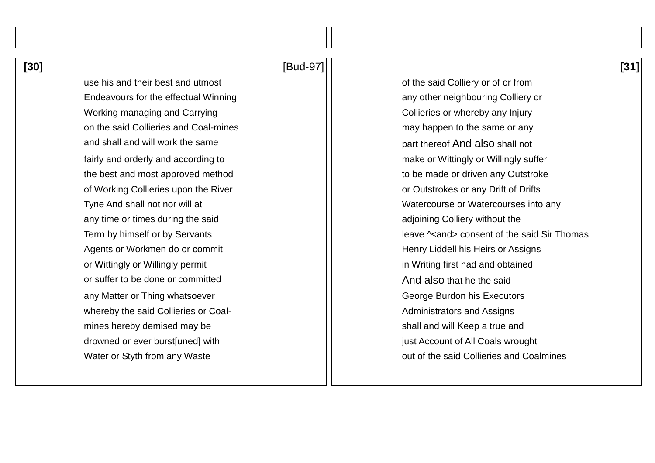| ۰.<br>۰.<br>M.<br>۰.<br>M<br>۰. |  |
|---------------------------------|--|
|---------------------------------|--|

# **[30]** [Bud-97] **[31]**

Endeavours for the effectual Winning any other neighbouring Colliery or Working managing and Carrying Theorem Assembly 2001 Collieries or whereby any Injury on the said Collieries and Coal-mines may happen to the same or any and shall and will work the same part thereof And also shall not fairly and orderly and according to make or Wittingly or Willingly suffer the best and most approved method the best and most approved method to be made or driven any Outstroke of Working Collieries upon the River **or Collies and Collies** or Outstrokes or any Drift of Drifts any time or times during the said any time or times during the said adjoining Colliery without the Agents or Workmen do or commit Agents or Workmen do or commit Henry Liddell his Heirs or Assigns or Wittingly or Willingly permit in Writing first had and obtained or suffer to be done or committed and suffer to be done or committed And also that he the said any Matter or Thing whatsoever George Burdon his Executors whereby the said Collieries or Coal- Administrators and Assigns mines hereby demised may be shall and will Keep a true and drowned or ever burst[uned] with just Account of All Coals wrought

use his and their best and utmost **of the said Colliery or of or from** Tyne And shall not nor will at New York Control 1. Tyne And shall not nor will at New York Control 1. Term by himself or by Servants leave  $\vert \vert$  leave  $\sim$  and  $\sim$  consent of the said Sir Thomas Water or Styth from any Waste **out of the said Collieries and Coalmines**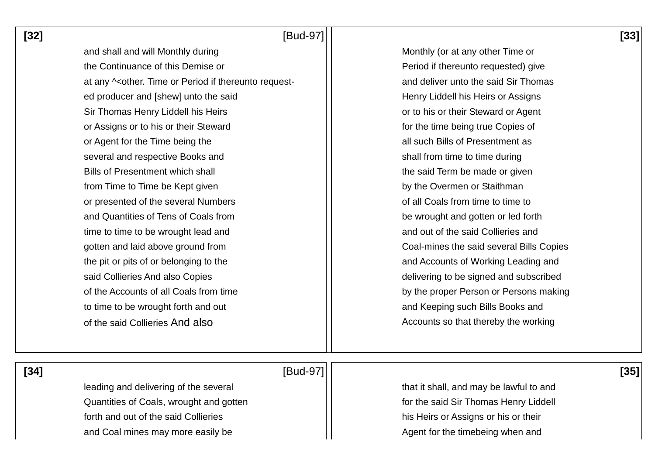**[32]** [Bud-97] **[33]** 

and shall and will Monthly during Monthly All Monthly (or at any other Time or the Continuance of this Demise or **Period if thereunto requested**) give at any  $\sim$ other. Time or Period if thereunto request-  $\vert \vert$  and deliver unto the said Sir Thomas ed producer and [shew] unto the said  $\vert$  | Henry Liddell his Heirs or Assigns Sir Thomas Henry Liddell his Heirs **Sir Thomas Henry Liddell his Heirs** or to his or their Steward or Agent or Assigns or to his or their Steward **for the time being true Copies of for the time being true Copies of** or Agent for the Time being the all such Bills of Presentment as several and respective Books and shall from time to time during Bills of Presentment which shall **the said Term be made or given** from Time to Time be Kept given by the Overmen or Staithman or presented of the several Numbers **of all Coals from time to time to** time to and Quantities of Tens of Coals from **be wrought and gotten or led forth** time to time to be wrought lead and and and and and out of the said Collieries and gotten and laid above ground from  $\vert \vert$  Coal-mines the said several Bills Copies the pit or pits of or belonging to the and Accounts of Working Leading and Accounts of Working Leading and said Collieries And also Copies delivering to be signed and subscribed of the Accounts of all Coals from time **by the proper Person or Persons making** to time to be wrought forth and out and  $\vert \vert$  and Keeping such Bills Books and of the said Collieries And also Accounts so that thereby the working

 **[34]** [Bud-97] **[35]** 

Quantities of Coals, wrought and gotten **Formal Community** For the said Sir Thomas Henry Liddell forth and out of the said Collieries his Heirs or Assigns or his or their and Coal mines may more easily be Agent for the timebeing when and

leading and delivering of the several  $\vert$   $\vert$  that it shall, and may be lawful to and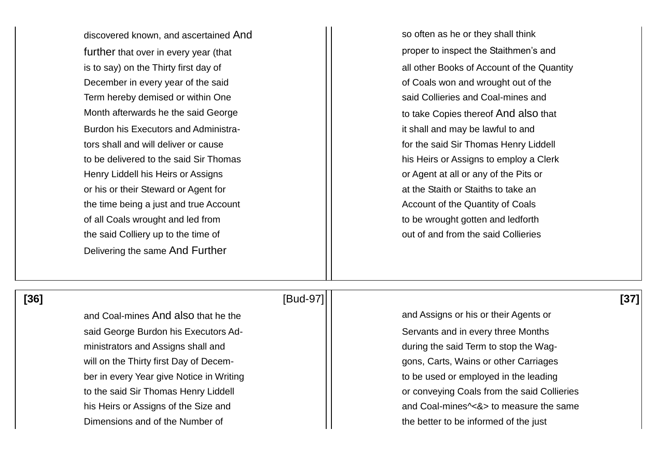further that over in every year (that proper to inspect the Staithmen's and December in every year of the said **December in every year of the said** Term hereby demised or within One said Collieries and Coal-mines and Month afterwards he the said George Theorge to take Copies thereof And also that Burdon his Executors and Administra- it is hall and may be lawful to and tors shall and will deliver or cause for the said Sir Thomas Henry Liddell to be delivered to the said Sir Thomas his Heirs or Assigns to employ a Clerk Henry Liddell his Heirs or Assigns or Agent at all or any of the Pits or or his or their Steward or Agent for at the Staith or Staiths to take an the time being a just and true Account Account Account of the Quantity of Coals of all Coals wrought and led from the same of all coals wrought and ledforth the said Colliery up to the time of  $\vert \vert$  out of and from the said Collieries Delivering the same And Further

discovered known, and ascertained And  $\vert$  so often as he or they shall think is to say) on the Thirty first day of  $\vert \vert$  all other Books of Account of the Quantity

# **[36]** [Bud-97] **[37]**

said George Burdon his Executors Ad-<br>  $\vert \vert$  Servants and in every three Months ministrators and Assigns shall and during the said Term to stop the Wagwill on the Thirty first Day of Decem- Georgian Company of Ligation and School and School and Thirty first Day of December in every Year give Notice in Writing the state of the used or employed in the leading Dimensions and of the Number of the the better to be informed of the just

and Coal-mines And also that he the and Coal-mines And also that he the and Assigns or his or their Agents or to the said Sir Thomas Henry Liddell **the said Sir Thomas Henry Liddell or conveying Coals from the said Collieries** his Heirs or Assigns of the Size and **and Coal-mines<sup>^</sup><&>** to measure the same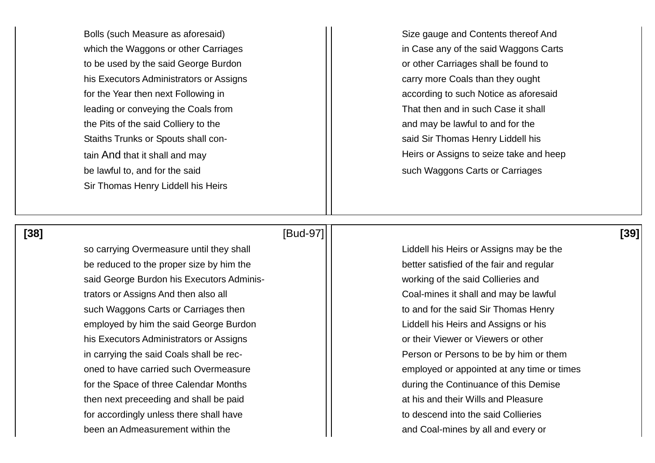to be used by the said George Burdon and the said Ceorge Burdon and the same or other Carriages shall be found to his Executors Administrators or Assigns exactle than the carry more Coals than they ought leading or conveying the Coals from That then and in such Case it shall the Pits of the said Colliery to the  $\vert$  and may be lawful to and for the Staiths Trunks or Spouts shall con- Staiths Trunks or Spouts shall conbe lawful to, and for the said such all such Waggons Carts or Carriages Sir Thomas Henry Liddell his Heirs

Bolls (such Measure as aforesaid) The Size gauge and Contents thereof And which the Waggons or other Carriages in Case any of the said Waggons Carts for the Year then next Following in a set of the Year then next Following in according to such Notice as aforesaid tain And that it shall and may example and the Heirs or Assigns to seize take and heep

### **[38]** [Bud-97] **[39]**

so carrying Overmeasure until they shall **Lightnan Covert Covert Liddell his Heirs or Assigns may be the** be reduced to the proper size by him the  $\vert$   $\vert$  better satisfied of the fair and regular said George Burdon his Executors Adminis- The Matteo of the said Collieries and trators or Assigns And then also all **Fig. 2** and then also all **Fig. 2** and Coal-mines it shall and may be lawful such Waggons Carts or Carriages then the said Sir Thomas Henry employed by him the said George Burdon and Liddell his Heirs and Assigns or his his Executors Administrators or Assigns **by Executors Administrators or Assigns** by Themas and Their Viewer or Viewers or other in carrying the said Coals shall be rec-<br>  $\vert \vert$  Person or Persons to be by him or them for the Space of three Calendar Months **during the Continuance of this Demise** then next preceeding and shall be paid at his and their Wills and Pleasure for accordingly unless there shall have the said Collieries of the said Collieries been an Admeasurement within the and Coal-mines by all and every or

oned to have carried such Overmeasure employed or appointed at any time or times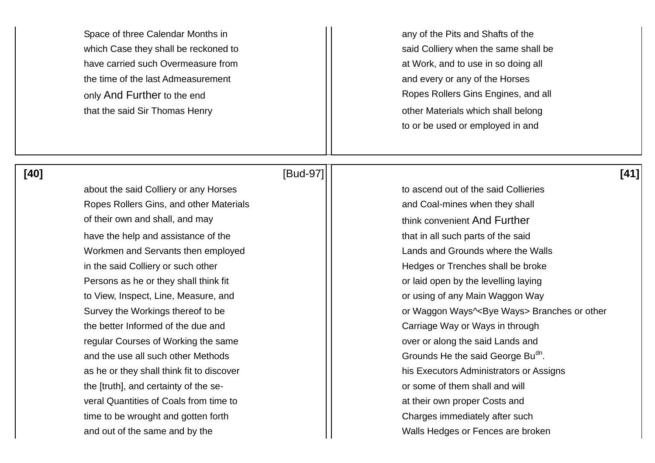Space of three Calendar Months in All Space of the Pits and Shafts of the Pits and Shafts of the have carried such Overmeasure from **at the superverse in the set of the set of the set of the set of the set of t** the time of the last Admeasurement and every or any of the Horses that the said Sir Thomas Henry **Example 20** That the said Sir Thomas Henry

which Case they shall be reckoned to said Colliery when the same shall be which Case they shall be only And Further to the end  $\vert\vert$  Ropes Rollers Gins Engines, and all to or be used or employed in and

about the said Colliery or any Horses to ascend out of the said Collieries Ropes Rollers Gins, and other Materials and Coal-mines when they shall of their own and shall, and may think convenient And Further have the help and assistance of the that in all such parts of the said Workmen and Servants then employed **Lands** and Grounds where the Walls in the said Colliery or such other **Hedges** or Trenches shall be broke Persons as he or they shall think fit **or laid open by the levelling laying** Persons as he or they shall think fit to View, Inspect, Line, Measure, and **the interval interval interval interval interval interval interval interv** the better Informed of the due and Theorem Carriage Way or Ways in through regular Courses of Working the same **over or along the said Lands and** and the use all such other Methods  $\vert\,\vert$  Grounds He the said George Bu<sup>dn</sup>. the [truth], and certainty of the se- or some of them shall and will veral Quantities of Coals from time to **at their own proper Costs and** time to be wrought and gotten forth  $\vert \vert$  Charges immediately after such and out of the same and by the Walls Hedges or Fences are broken

### **[40]** [Bud-97] **[41]**

Survey the Workings thereof to be **or Waggon Ways<sup>^</sup><Bye Ways>** Branches or other as he or they shall think fit to discover **his Executors Administrators or Assigns**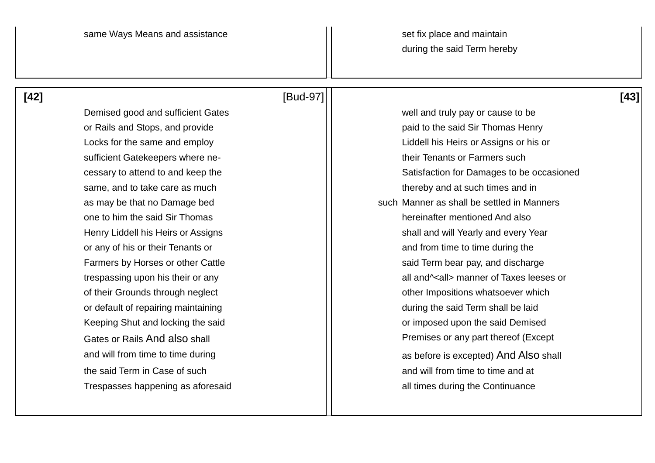## **[42]** [Bud-97] **[43]**

Demised good and sufficient Gates Mathematic Muslem and truly pay or cause to be sufficient Gatekeepers where ne-<br>  $\begin{array}{ccc} \hline \end{array}$  their Tenants or Farmers such same, and to take care as much thereby and at such times and in one to him the said Sir Thomas hereinafter mentioned And also or any of his or their Tenants or and from time to time during the and from time to time during the or default of repairing maintaining during the said Term shall be laid the said Term in Case of such and will from time to time and at the said Term in Case of such and  $\frac{1}{1}$  and will from time to time and at Trespasses happening as aforesaid and all times during the Continuance

or Rails and Stops, and provide paid to the said Sir Thomas Henry Locks for the same and employ Liddell his Heirs or Assigns or his or cessary to attend to and keep the Satisfaction for Damages to be occasioned as may be that no Damage bed such Manner as shall be settled in Manners Henry Liddell his Heirs or Assigns shall and will Yearly and every Year Farmers by Horses or other Cattle said Term bear pay, and discharge trespassing upon his their or any and the state of Taxes leeses or of their Grounds through neglect and their control of their Impositions whatsoever which Keeping Shut and locking the said **Example 20** in the said Demised vertical vertices or imposed upon the said Demised Gates or Rails And also shall **Premises of any part thereof (Except** Premises or any part thereof (Except and will from time to time during and will from time to time during as before is excepted) And Also shall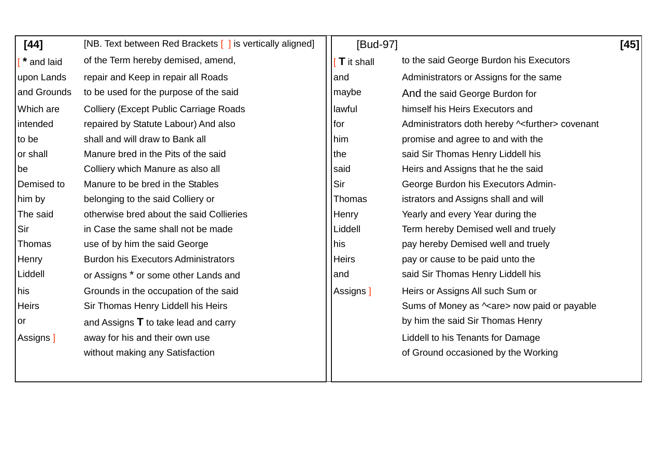| $[44]$       | [NB. Text between Red Brackets [ ] is vertically aligned] | [Bud-97]          |                                                     | [45] |
|--------------|-----------------------------------------------------------|-------------------|-----------------------------------------------------|------|
| " and laid   | of the Term hereby demised, amend,                        | <b>T</b> it shall | to the said George Burdon his Executors             |      |
| upon Lands   | repair and Keep in repair all Roads                       | and               | Administrators or Assigns for the same              |      |
| and Grounds  | to be used for the purpose of the said                    | maybe             | And the said George Burdon for                      |      |
| Which are    | <b>Colliery (Except Public Carriage Roads)</b>            | lawful            | himself his Heirs Executors and                     |      |
| intended     | repaired by Statute Labour) And also                      | for               | Administrators doth hereby $\sim$ further> covenant |      |
| to be        | shall and will draw to Bank all                           | him               | promise and agree to and with the                   |      |
| or shall     | Manure bred in the Pits of the said                       | the               | said Sir Thomas Henry Liddell his                   |      |
| be           | Colliery which Manure as also all                         | said              | Heirs and Assigns that he the said                  |      |
| Demised to   | Manure to be bred in the Stables                          | Sir               | George Burdon his Executors Admin-                  |      |
| him by       | belonging to the said Colliery or                         | Thomas            | istrators and Assigns shall and will                |      |
| The said     | otherwise bred about the said Collieries                  | Henry             | Yearly and every Year during the                    |      |
| Sir          | in Case the same shall not be made                        | Liddell           | Term hereby Demised well and truely                 |      |
| Thomas       | use of by him the said George                             | his               | pay hereby Demised well and truely                  |      |
| Henry        | <b>Burdon his Executors Administrators</b>                | <b>Heirs</b>      | pay or cause to be paid unto the                    |      |
| Liddell      | or Assigns * or some other Lands and                      | and               | said Sir Thomas Henry Liddell his                   |      |
| his          | Grounds in the occupation of the said                     | Assigns 1         | Heirs or Assigns All such Sum or                    |      |
| <b>Heirs</b> | Sir Thomas Henry Liddell his Heirs                        |                   | Sums of Money as $\sim$ are > now paid or payable   |      |
| or           | and Assigns $\mathsf T$ to take lead and carry            |                   | by him the said Sir Thomas Henry                    |      |
| Assigns ]    | away for his and their own use                            |                   | Liddell to his Tenants for Damage                   |      |
|              | without making any Satisfaction                           |                   | of Ground occasioned by the Working                 |      |
|              |                                                           |                   |                                                     |      |
|              |                                                           |                   |                                                     |      |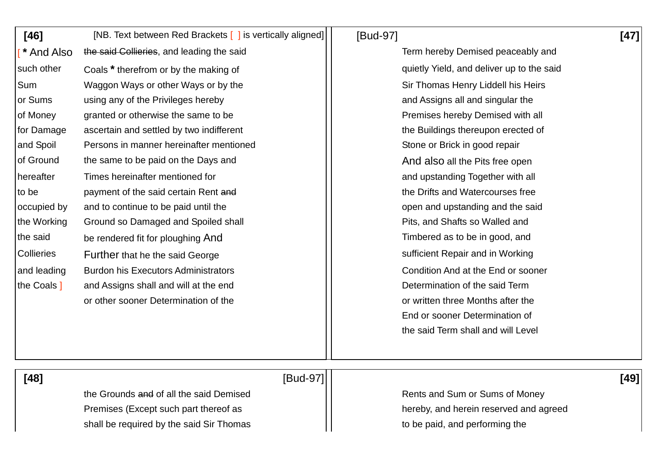| $[46]$      | [NB. Text between Red Brackets [ ] is vertically aligned] | [Bud-97]                                  | $[47]$ |
|-------------|-----------------------------------------------------------|-------------------------------------------|--------|
| * And Also  | the said Collieries, and leading the said                 | Term hereby Demised peaceably and         |        |
| such other  | Coals * therefrom or by the making of                     | quietly Yield, and deliver up to the said |        |
| Sum         | Waggon Ways or other Ways or by the                       | Sir Thomas Henry Liddell his Heirs        |        |
| or Sums     | using any of the Privileges hereby                        | and Assigns all and singular the          |        |
| of Money    | granted or otherwise the same to be                       | Premises hereby Demised with all          |        |
| for Damage  | ascertain and settled by two indifferent                  | the Buildings thereupon erected of        |        |
| and Spoil   | Persons in manner hereinafter mentioned                   | Stone or Brick in good repair             |        |
| of Ground   | the same to be paid on the Days and                       | And also all the Pits free open           |        |
| hereafter   | Times hereinafter mentioned for                           | and upstanding Together with all          |        |
| to be       | payment of the said certain Rent and                      | the Drifts and Watercourses free          |        |
| occupied by | and to continue to be paid until the                      | open and upstanding and the said          |        |
| the Working | Ground so Damaged and Spoiled shall                       | Pits, and Shafts so Walled and            |        |
| the said    | be rendered fit for ploughing And                         | Timbered as to be in good, and            |        |
| Collieries  | Further that he the said George                           | sufficient Repair and in Working          |        |
| and leading | <b>Burdon his Executors Administrators</b>                | Condition And at the End or sooner        |        |
| the Coals ] | and Assigns shall and will at the end                     | Determination of the said Term            |        |
|             | or other sooner Determination of the                      | or written three Months after the         |        |
|             |                                                           | End or sooner Determination of            |        |
|             |                                                           | the said Term shall and will Level        |        |
|             |                                                           |                                           |        |
| [48]        | [Bud-97]                                                  |                                           | [49]   |
|             | the Grounds and of all the said Demised                   | Rents and Sum or Sums of Money            |        |
|             | Premises (Except such part thereof as                     | hereby, and herein reserved and agreed    |        |
|             | shall be required by the said Sir Thomas                  | to be paid, and performing the            |        |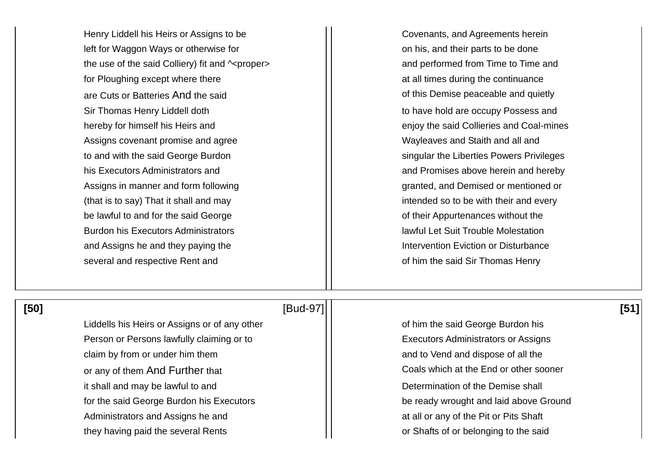Henry Liddell his Heirs or Assigns to be Fig. 2.1 Covenants, and Agreements herein left for Waggon Ways or otherwise for **on his, and their parts to be done** the use of the said Colliery) fit and  $\sim$ proper>  $\vert \vert$  and performed from Time to Time and for Ploughing except where there at all times during the continuance are Cuts or Batteries And the said **of this Demise peaceable and quietly** Sir Thomas Henry Liddell doth to have hold are occupy Possess and hereby for himself his Heirs and **Exercise 2018 hereby for himself his Heirs and Coal-mines** Assigns covenant promise and agree Network and Assigns covenant promise and agree Wayleaves and Staith and all and to and with the said George Burdon singular the Liberties Powers Privileges his Executors Administrators and and and promises above herein and hereby Assigns in manner and form following example and the set of the set of the set of the set of the set of the set of the set of the set of the set of the set of the set of the set of the set of the set of the set of the set (that is to say) That it shall and may  $\vert \vert$  intended so to be with their and every be lawful to and for the said George **of their Appurtenances without the** be lawful to and for the said George Burdon his Executors Administrators and the state of lawful Let Suit Trouble Molestation and Assigns he and they paying the Intervention Eviction or Disturbance several and respective Rent and **of him the said Sir Thomas Henry** several and respective Rent and

Liddells his Heirs or Assigns or of any other **Fig. 1.1.** The Said George Burdon his Person or Persons lawfully claiming or to **Executors** Administrators or Assigns claim by from or under him them and to Vend and dispose of all the or any of them And Further that **Coals** which at the End or other sooner it shall and may be lawful to and  $\vert \vert$  Determination of the Demise shall for the said George Burdon his Executors **be ready wrought and laid above Ground** Administrators and Assigns he and at all or any of the Pit or Pits Shaft they having paid the several Rents **or Shafts of or Shafts of or belonging to the said** 

### **[50]** [Bud-97] **[51]**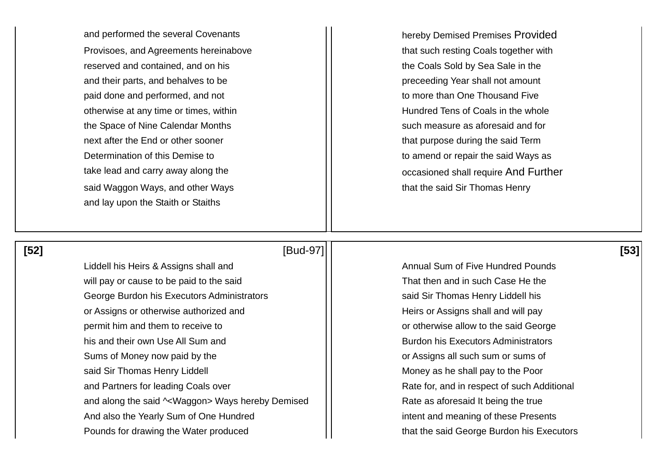Provisoes, and Agreements hereinabove that such resting Coals together with reserved and contained, and on his the Coals Sold by Sea Sale in the and their parts, and behalves to be preceeding Year shall not amount paid done and performed, and not to more than One Thousand Five otherwise at any time or times, within  $||$  Hundred Tens of Coals in the whole the Space of Nine Calendar Months such measure as aforesaid and for next after the End or other sooner that purpose during the said Term Determination of this Demise to the said Ways as  $\vert \vert$  to amend or repair the said Ways as said Waggon Ways, and other Ways that the said Sir Thomas Henry and lay upon the Staith or Staiths

and performed the several Covenants **hereby Demised Premises Provided** take lead and carry away along the **occasioned shall require And Further** 

 **[52]** [Bud-97] **[53]** 

will pay or cause to be paid to the said That then and in such Case He the George Burdon his Executors Administrators **Said Sir Thomas Henry Liddell his** Secure 2.5 and Sir Thomas Henry Liddell his or Assigns or otherwise authorized and  $\vert \vert$  Heirs or Assigns shall and will pay permit him and them to receive to **orcell contract to the said George** or otherwise allow to the said George his and their own Use All Sum and **Burdon his Executors Administrators Rurdon his Executors Administrators** Sums of Money now paid by the **or Assigns all such sum or sums of** sum or sums of said Sir Thomas Henry Liddell Money as he shall pay to the Poor and Partners for leading Coals over **Rate form and in respect of such Additional** and along the said  $\sim$ Waggon> Ways hereby Demised  $\vert \vert$  Rate as aforesaid It being the true And also the Yearly Sum of One Hundred **intent and meaning of these Presents** Pounds for drawing the Water produced and that the said George Burdon his Executors

Liddell his Heirs & Assigns shall and Annual Sum of Five Hundred Pounds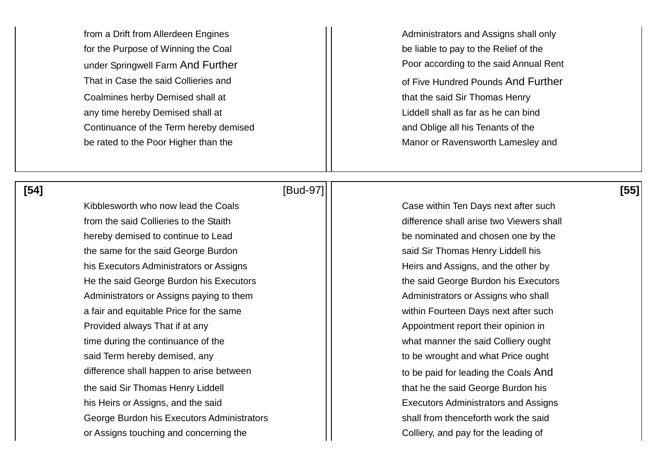from a Drift from Allerdeen Engines Administrators and Assigns shall only for the Purpose of Winning the Coal and be liable to pay to the Relief of the Coalmines herby Demised shall at the said Sir Thomas Henry any time hereby Demised shall at  $\vert$  | Liddell shall as far as he can bind Continuance of the Term hereby demised and Oblige all his Tenants of the be rated to the Poor Higher than the Manor or Ravensworth Lamesley and

Kibblesworth who now lead the Coals **Case within Ten Days next after such** Case within Ten Days next after such from the said Collieries to the Staith **difference shall arise two Viewers shall** trade the Staith difference shall arise two Viewers shall hereby demised to continue to Lead be nominated and chosen one by the the same for the said George Burdon said Sir Thomas Henry Liddell his his Executors Administrators or Assigns Heirs and Assigns, and the other by He the said George Burdon his Executors **the said George Burdon his Executors** the said George Burdon his Executors Administrators or Assigns paying to them Administrators or Assigns who shall a fair and equitable Price for the same within Fourteen Days next after such Provided always That if at any Appointment report their opinion in time during the continuance of the what manner the said Colliery ought said Term hereby demised, any the said Term hereby demised, any to be wrought and what Price ought difference shall happen to arise between  $\vert \vert$  to be paid for leading the Coals And the said Sir Thomas Henry Liddell that he the said George Burdon his his Heirs or Assigns, and the said **Executors Administrators and Assigns** George Burdon his Executors Administrators **Shall from thenceforth work the said** or Assigns touching and concerning the Colliery, and pay for the leading of

# **[54]** [Bud-97] **[55]**

under Springwell Farm And Further **Poor according to the said Annual Rent** That in Case the said Collieries and **That in Case the said Collieries and**  That in Case the said Collieries and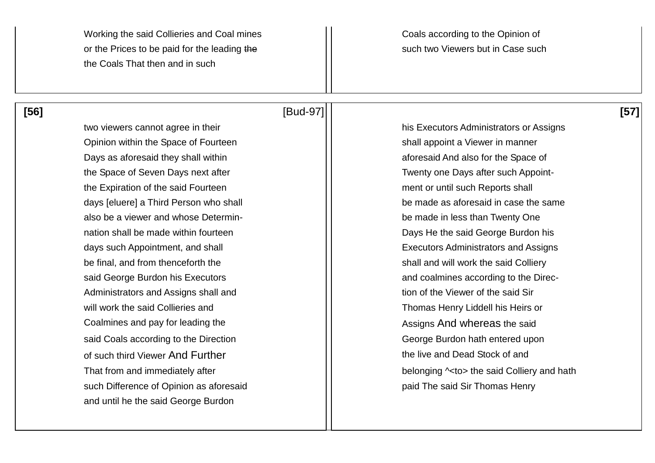Working the said Collieries and Coal mines Morking to the Opinion of or the Prices to be paid for the leading the such such two Viewers but in Case such the Coals That then and in such

Opinion within the Space of Fourteen shall appoint a Viewer in manner Days as aforesaid they shall within and also for the Space of aforesaid And also for the Space of the Space of Seven Days next after Twenty one Days after such Appointthe Expiration of the said Fourteen **net all assets a set of the State State** ment or until such Reports shall also be a viewer and whose Determin-<br>
also be a viewer and whose Determin-<br>
also be made in less than Twenty One nation shall be made within fourteen **Days He the said George Burdon his** days such Appointment, and shall **Executors** Administrators and Assigns be final, and from thenceforth the shall and will work the said Colliery said George Burdon his Executors and Coalmines according to the Direc-Administrators and Assigns shall and tion of the Viewer of the said Sir will work the said Collieries and Thomas Henry Liddell his Heirs or Coalmines and pay for leading the Assigns And whereas the said said Coals according to the Direction George Burdon hath entered upon of such third Viewer And Further the live and Dead Stock of and such Difference of Opinion as aforesaid **paid The said Sir Thomas Henry paid The said Sir Thomas Henry** and until he the said George Burdon

### **[56]** [Bud-97] **[57]**

two viewers cannot agree in their his Executors Administrators or Assigns days [eluere] a Third Person who shall days [eluere] be made as aforesaid in case the same That from and immediately after **belonging**  $\sim$  **to** the said Colliery and hath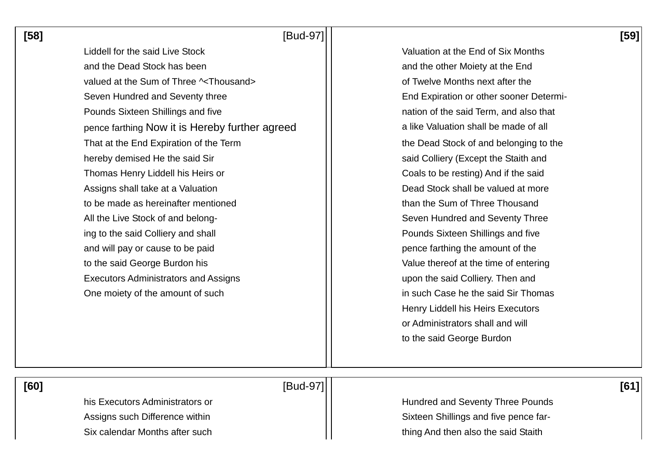**[58]** [Bud-97] **[59]** 

Liddell for the said Live Stock Valuation at the End of Six Months and the Dead Stock has been and the other Moiety at the End valued at the Sum of Three  $\sim$ Thousand>  $\vert$  of Twelve Months next after the Seven Hundred and Seventy three End Expiration or other sooner Determi-Pounds Sixteen Shillings and five nation of the said Term, and also that pence farthing Now it is Hereby further agreed  $\vert$  | a like Valuation shall be made of all That at the End Expiration of the Term That at the Dead Stock of and belonging to the hereby demised He the said Sir said Colliery (Except the Staith and Thomas Henry Liddell his Heirs or Thomas Henry Liddell his Heirs or Thomas Henry Liddell his Heirs or Assigns shall take at a Valuation **Dead Stock shall be valued at more Constanting the Valued At More** to be made as hereinafter mentioned than the Sum of Three Thousand All the Live Stock of and belong-<br>  $\begin{array}{ccc} \hline \end{array}$  Seven Hundred and Seventy Three ing to the said Colliery and shall **Pounds Sixteen Shillings and five** Pounds Sixteen Shillings and five and will pay or cause to be paid **pence farthing the amount of the** pence farthing the amount of the to the said George Burdon his **Value thereof at the time of entering** to the said George Burdon his Executors Administrators and Assigns **Executors** 1 and upon the said Colliery. Then and One moiety of the amount of such in such in such Case he the said Sir Thomas

Henry Liddell his Heirs Executors or Administrators shall and will to the said George Burdon

 **[60]** [Bud-97] **[61]** 

his Executors Administrators or **Hundred and Seventy Three Pounds** Assigns such Difference within  $\vert \vert$  Sixteen Shillings and five pence far-Six calendar Months after such thing And then also the said Staith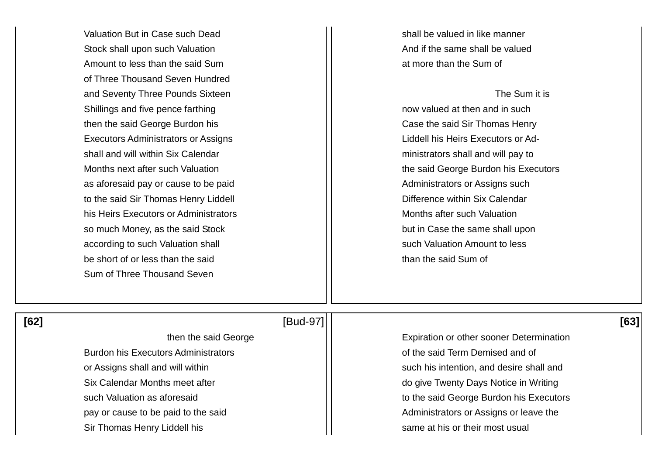Valuation But in Case such Dead shall be valued in like manner Stock shall upon such Valuation And if the same shall be valued Amount to less than the said Sum at more than the Sum of of Three Thousand Seven Hundred and Seventy Three Pounds Sixteen The Sum it is and Seventy The Sum it is Shillings and five pence farthing now valued at then and in such now valued at then and in such then the said George Burdon his **Case the said Sir Thomas Henry Case the said Sir Thomas Henry** Executors Administrators or Assigns **Liddell his Heirs Executors or Ad**shall and will within Six Calendar ministrators shall and will pay to as aforesaid pay or cause to be paid and a set of the Administrators or Assigns such to the said Sir Thomas Henry Liddell **Exercise 1** and Difference within Six Calendar his Heirs Executors or Administrators Months after such Valuation so much Money, as the said Stock but in Case the same shall upon according to such Valuation shall such valuation shall such Valuation Amount to less be short of or less than the said than the said Sum of Sum of Three Thousand Seven

Months next after such Valuation **the said George Burdon his Executors**  $\vert \vert$  the said George Burdon his Executors

### **[62]** [Bud-97] **[63]**

Burdon his Executors Administrators **Executors** Administrators **of the said Term Demised and of** or Assigns shall and will within such his intention, and desire shall and Six Calendar Months meet after **do give Twenty Days Notice in Writing** pay or cause to be paid to the said  $\vert \vert$  Administrators or Assigns or leave the Sir Thomas Henry Liddell his same at his or their most usual

then the said George **Expiration** or other sooner Determination such Valuation as aforesaid **the such Valuation as aforesaid** to the said George Burdon his Executors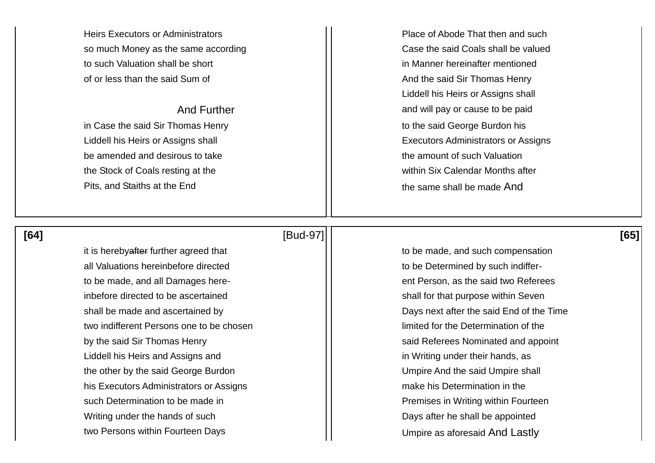so much Money as the same according The Case the said Coals shall be valued to such Valuation shall be short in Manner hereinafter mentioned of or less than the said Sum of And the said Sir Thomas Henry

be amended and desirous to take the amount of such Valuation the Stock of Coals resting at the within Six Calendar Months after Pits, and Staiths at the End the same shall be made And

Heirs Executors or Administrators **Place of Abode That then and such** Place of Abode That then and such Liddell his Heirs or Assigns shall And Further and Will pay or cause to be paid in Case the said Sir Thomas Henry to the said George Burdon his Liddell his Heirs or Assigns shall **Executors** Administrators or Assigns

# **[64]** [Bud-97] **[65]**

all Valuations hereinbefore directed all valuations hereinbefore directed to be Determined by such indifferto be made, and all Damages here-<br>
and two Referees inbefore directed to be ascertained shall for that purpose within Seven two indifferent Persons one to be chosen limited for the Determination of the by the said Sir Thomas Henry said Referees Nominated and appoint Liddell his Heirs and Assigns and in Writing under their hands, as the other by the said George Burdon and Umpire And the said Umpire shall his Executors Administrators or Assigns make his Determination in the such Determination to be made in Fremises in Writing within Fourteen Writing under the hands of such Days after he shall be appointed two Persons within Fourteen Days Theorem 2012 | Umpire as aforesaid And Lastly

it is herebyafter further agreed that  $\vert \vert$  to be made, and such compensation shall be made and ascertained by  $||$  Days next after the said End of the Time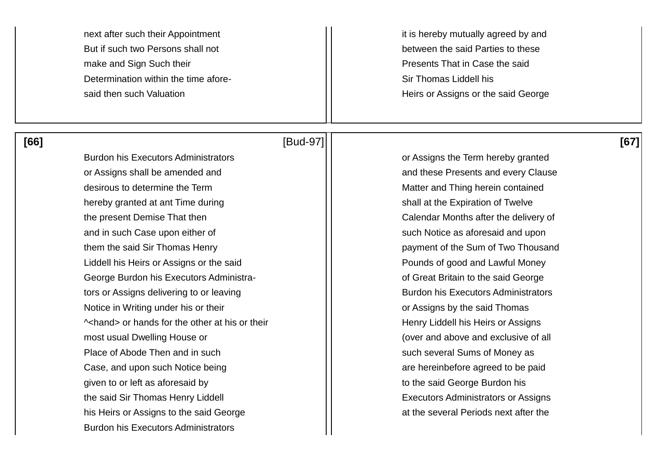next after such their Appointment it is hereby mutually agreed by and But if such two Persons shall not between the said Parties to these make and Sign Such their **Presents That in Case the said** Presents That in Case the said Determination within the time afore- Sir Thomas Liddell his

# **[66]** [Bud-97] **[67]**

said then such Valuation **Heirs of Assigns or the said George** 

Burdon his Executors Administrators **Concretive Concretive Concretive Concretive** Concretive Concretive Concretiv or Assigns shall be amended and and and server and these Presents and every Clause desirous to determine the Term  $||$  Matter and Thing herein contained hereby granted at ant Time during shall at the Expiration of Twelve the present Demise That then  $\vert \vert$  Calendar Months after the delivery of and in such Case upon either of such and in such Notice as aforesaid and upon them the said Sir Thomas Henry **payment of the Sum of Two Thousand** Liddell his Heirs or Assigns or the said **Pounds of good and Lawful Money** George Burdon his Executors Administra- of Great Britain to the said George tors or Assigns delivering to or leaving and Burdon his Executors Administrators Notice in Writing under his or their **Notice in Writing under his or their or Assigns by the said Thomas**  $\sim$ hand> or hands for the other at his or their  $\vert$  Henry Liddell his Heirs or Assigns most usual Dwelling House or  $\vert \vert$  (over and above and exclusive of all Place of Abode Then and in such such such such such several Sums of Money as Case, and upon such Notice being and are hereinbefore agreed to be paid given to or left as aforesaid by  $\vert \vert$  to the said George Burdon his the said Sir Thomas Henry Liddell **Executors Administrators or Assigns** his Heirs or Assigns to the said George at the several Periods next after the Burdon his Executors Administrators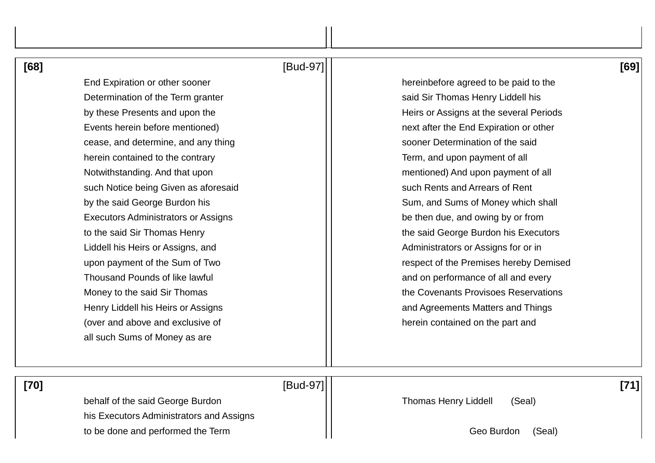| [68] | [Bud-97]                                   | [69]                                    |
|------|--------------------------------------------|-----------------------------------------|
|      | End Expiration or other sooner             | hereinbefore agreed to be paid to the   |
|      | Determination of the Term granter          | said Sir Thomas Henry Liddell his       |
|      | by these Presents and upon the             | Heirs or Assigns at the several Periods |
|      | Events herein before mentioned)            | next after the End Expiration or other  |
|      | cease, and determine, and any thing        | sooner Determination of the said        |
|      | herein contained to the contrary           | Term, and upon payment of all           |
|      | Notwithstanding. And that upon             | mentioned) And upon payment of all      |
|      | such Notice being Given as aforesaid       | such Rents and Arrears of Rent          |
|      | by the said George Burdon his              | Sum, and Sums of Money which shall      |
|      | <b>Executors Administrators or Assigns</b> | be then due, and owing by or from       |
|      | to the said Sir Thomas Henry               | the said George Burdon his Executors    |
|      | Liddell his Heirs or Assigns, and          | Administrators or Assigns for or in     |
|      | upon payment of the Sum of Two             | respect of the Premises hereby Demised  |
|      | <b>Thousand Pounds of like lawful</b>      | and on performance of all and every     |
|      | Money to the said Sir Thomas               | the Covenants Provisoes Reservations    |
|      | Henry Liddell his Heirs or Assigns         | and Agreements Matters and Things       |
|      | (over and above and exclusive of           | herein contained on the part and        |
|      | all such Sums of Money as are              |                                         |
|      |                                            |                                         |
|      |                                            |                                         |

 **[70]** [Bud-97] **[71]** 

behalf of the said George Burdon **Thomas Henry Liddell** (Seal) his Executors Administrators and Assigns to be done and performed the Term  $\left|\right|$  (Seal)